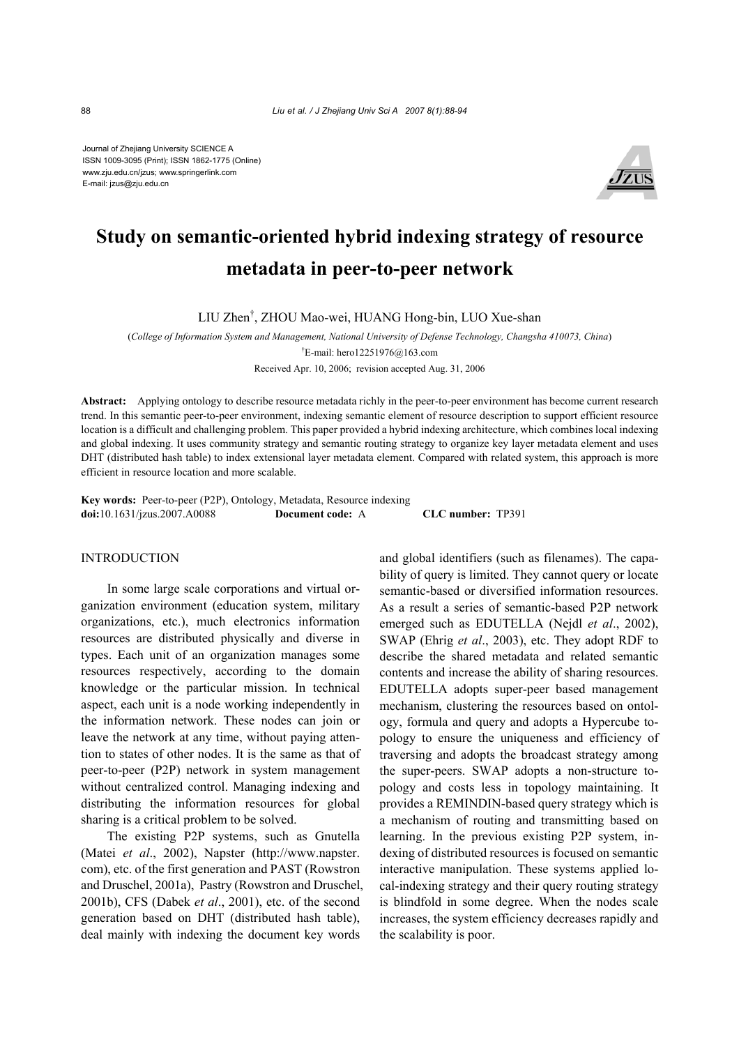Journal of Zhejiang University SCIENCE A ISSN 1009-3095 (Print); ISSN 1862-1775 (Online) www.zju.edu.cn/jzus; www.springerlink.com E-mail: jzus@zju.edu.cn



# **Study on semantic-oriented hybrid indexing strategy of resource metadata in peer-to-peer network**

LIU Zhen† , ZHOU Mao-wei, HUANG Hong-bin, LUO Xue-shan

(*College of Information System and Management, National University of Defense Technology, Changsha 410073, China*) † E-mail: hero12251976@163.com

Received Apr. 10, 2006; revision accepted Aug. 31, 2006

**Abstract:** Applying ontology to describe resource metadata richly in the peer-to-peer environment has become current research trend. In this semantic peer-to-peer environment, indexing semantic element of resource description to support efficient resource location is a difficult and challenging problem. This paper provided a hybrid indexing architecture, which combines local indexing and global indexing. It uses community strategy and semantic routing strategy to organize key layer metadata element and uses DHT (distributed hash table) to index extensional layer metadata element. Compared with related system, this approach is more efficient in resource location and more scalable.

**Key words:** Peer-to-peer (P2P), Ontology, Metadata, Resource indexing **doi:**10.1631/jzus.2007.A0088 **Document code:** A **CLC number:** TP391

## INTRODUCTION

In some large scale corporations and virtual organization environment (education system, military organizations, etc.), much electronics information resources are distributed physically and diverse in types. Each unit of an organization manages some resources respectively, according to the domain knowledge or the particular mission. In technical aspect, each unit is a node working independently in the information network. These nodes can join or leave the network at any time, without paying attention to states of other nodes. It is the same as that of peer-to-peer (P2P) network in system management without centralized control. Managing indexing and distributing the information resources for global sharing is a critical problem to be solved.

The existing P2P systems, such as Gnutella (Matei *et al*., 2002), Napster (http://www.napster. com), etc. of the first generation and PAST (Rowstron and Druschel, 2001a), Pastry (Rowstron and Druschel, 2001b), CFS (Dabek *et al*., 2001), etc. of the second generation based on DHT (distributed hash table), deal mainly with indexing the document key words

and global identifiers (such as filenames). The capability of query is limited. They cannot query or locate semantic-based or diversified information resources. As a result a series of semantic-based P2P network emerged such as EDUTELLA (Nejdl *et al*., 2002), SWAP (Ehrig *et al*., 2003), etc. They adopt RDF to describe the shared metadata and related semantic contents and increase the ability of sharing resources. EDUTELLA adopts super-peer based management mechanism, clustering the resources based on ontology, formula and query and adopts a Hypercube topology to ensure the uniqueness and efficiency of traversing and adopts the broadcast strategy among the super-peers. SWAP adopts a non-structure topology and costs less in topology maintaining. It provides a REMINDIN-based query strategy which is a mechanism of routing and transmitting based on learning. In the previous existing P2P system, indexing of distributed resources is focused on semantic interactive manipulation. These systems applied local-indexing strategy and their query routing strategy is blindfold in some degree. When the nodes scale increases, the system efficiency decreases rapidly and the scalability is poor.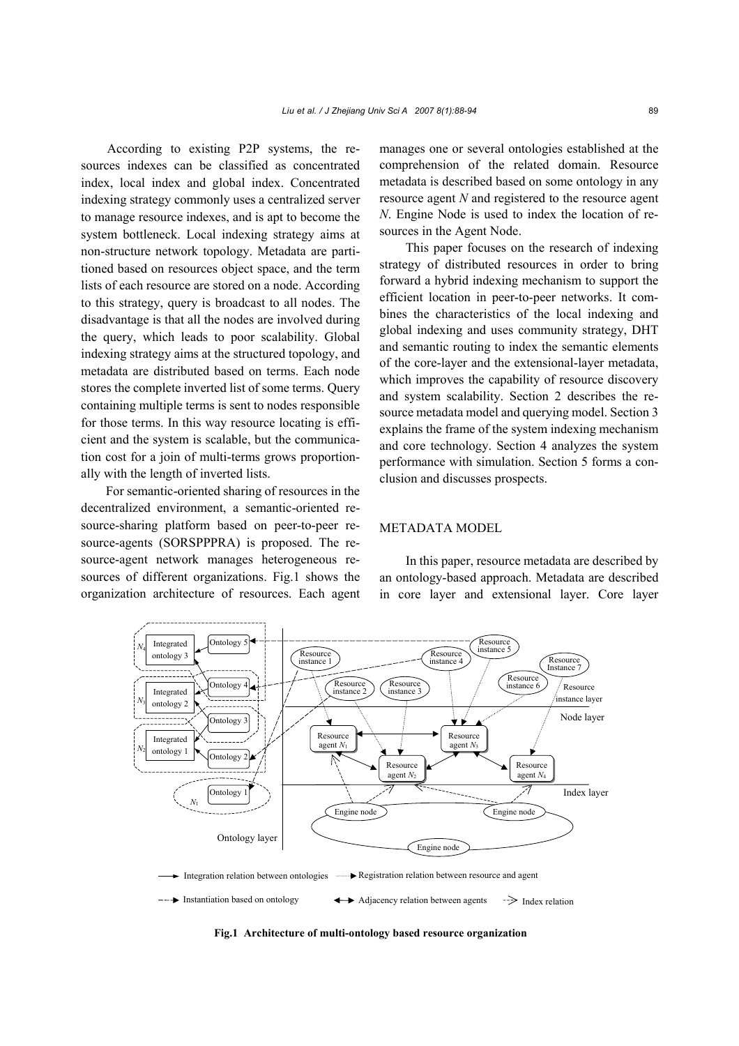According to existing P2P systems, the resources indexes can be classified as concentrated index, local index and global index. Concentrated indexing strategy commonly uses a centralized server to manage resource indexes, and is apt to become the system bottleneck. Local indexing strategy aims at non-structure network topology. Metadata are partitioned based on resources object space, and the term lists of each resource are stored on a node. According to this strategy, query is broadcast to all nodes. The disadvantage is that all the nodes are involved during the query, which leads to poor scalability. Global indexing strategy aims at the structured topology, and metadata are distributed based on terms. Each node stores the complete inverted list of some terms. Query containing multiple terms is sent to nodes responsible for those terms. In this way resource locating is efficient and the system is scalable, but the communication cost for a join of multi-terms grows proportionally with the length of inverted lists.

For semantic-oriented sharing of resources in the decentralized environment, a semantic-oriented resource-sharing platform based on peer-to-peer resource-agents (SORSPPPRA) is proposed. The resource-agent network manages heterogeneous resources of different organizations. Fig.1 shows the organization architecture of resources. Each agent manages one or several ontologies established at the comprehension of the related domain. Resource metadata is described based on some ontology in any resource agent *N* and registered to the resource agent *N*. Engine Node is used to index the location of resources in the Agent Node.

This paper focuses on the research of indexing strategy of distributed resources in order to bring forward a hybrid indexing mechanism to support the efficient location in peer-to-peer networks. It combines the characteristics of the local indexing and global indexing and uses community strategy, DHT and semantic routing to index the semantic elements of the core-layer and the extensional-layer metadata, which improves the capability of resource discovery and system scalability. Section 2 describes the resource metadata model and querying model. Section 3 explains the frame of the system indexing mechanism and core technology. Section 4 analyzes the system performance with simulation. Section 5 forms a conclusion and discusses prospects.

## METADATA MODEL

In this paper, resource metadata are described by an ontology-based approach. Metadata are described in core layer and extensional layer. Core layer



**Fig.1 Architecture of multi-ontology based resource organization**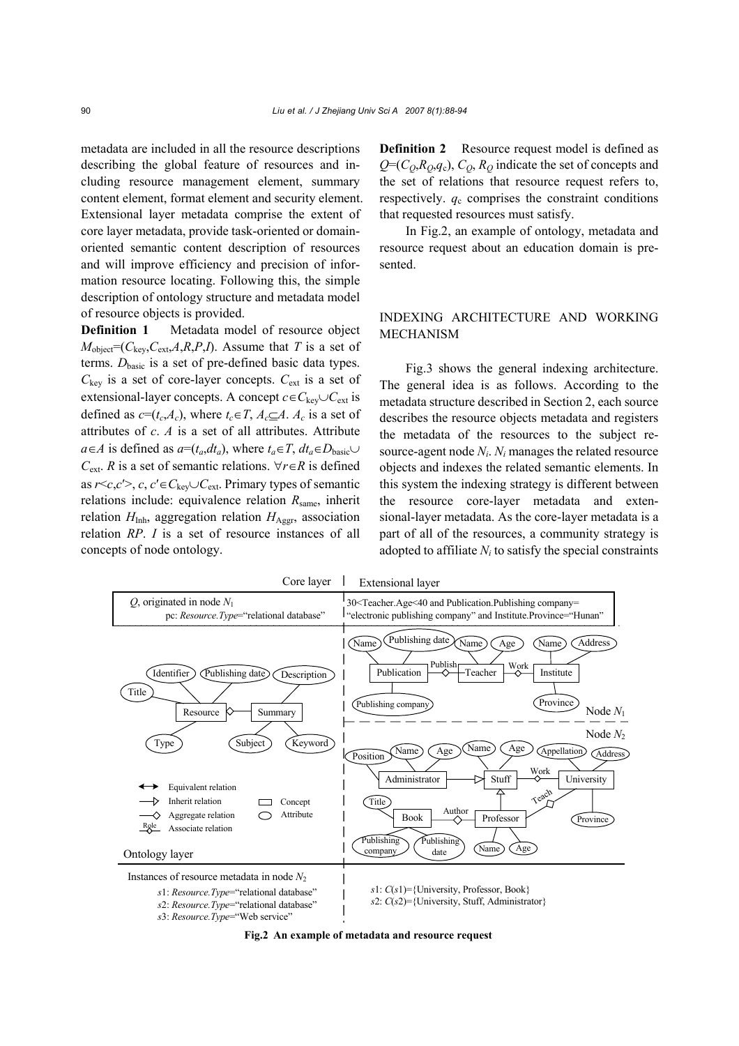metadata are included in all the resource descriptions describing the global feature of resources and including resource management element, summary content element, format element and security element. Extensional layer metadata comprise the extent of core layer metadata, provide task-oriented or domainoriented semantic content description of resources and will improve efficiency and precision of information resource locating. Following this, the simple description of ontology structure and metadata model of resource objects is provided.

**Definition 1** Metadata model of resource object  $M_{\text{object}} = (C_{\text{kev}}, C_{\text{ext}}, A, R, P, I)$ . Assume that *T* is a set of terms. *D*basic is a set of pre-defined basic data types.  $C_{\text{key}}$  is a set of core-layer concepts.  $C_{\text{ext}}$  is a set of extensional-layer concepts. A concept  $c \in C_{\text{key}} \cup C_{\text{ext}}$  is defined as  $c=(t_c, A_c)$ , where  $t_c \in T$ ,  $A_c \subseteq A$ .  $A_c$  is a set of attributes of *c*. *A* is a set of all attributes. Attribute *a*∈*A* is defined as *a*= $(t_a, dt_a)$ , where  $t_a \in T$ ,  $dt_a \in D$  basic∪  $C_{\text{ext}}$ . *R* is a set of semantic relations.  $\forall r \in R$  is defined as  $r < c, c' > c, c' \in C_{key} ∪ C_{ext}$ . Primary types of semantic relations include: equivalence relation *R*same, inherit relation  $H_{\text{Inh}}$ , aggregation relation  $H_{\text{Aggr}}$ , association relation *RP*. *I* is a set of resource instances of all concepts of node ontology.

**Definition 2** Resource request model is defined as  $Q=(C_0,R_0,q_c)$ ,  $C_0$ ,  $R_0$  indicate the set of concepts and the set of relations that resource request refers to, respectively.  $q_c$  comprises the constraint conditions that requested resources must satisfy.

In Fig.2, an example of ontology, metadata and resource request about an education domain is presented.

# INDEXING ARCHITECTURE AND WORKING MECHANISM

Fig.3 shows the general indexing architecture. The general idea is as follows. According to the metadata structure described in Section 2, each source describes the resource objects metadata and registers the metadata of the resources to the subject resource-agent node *Ni*. *Ni* manages the related resource objects and indexes the related semantic elements. In this system the indexing strategy is different between the resource core-layer metadata and extensional-layer metadata. As the core-layer metadata is a part of all of the resources, a community strategy is adopted to affiliate  $N_i$  to satisfy the special constraints



**Fig.2 An example of metadata and resource request**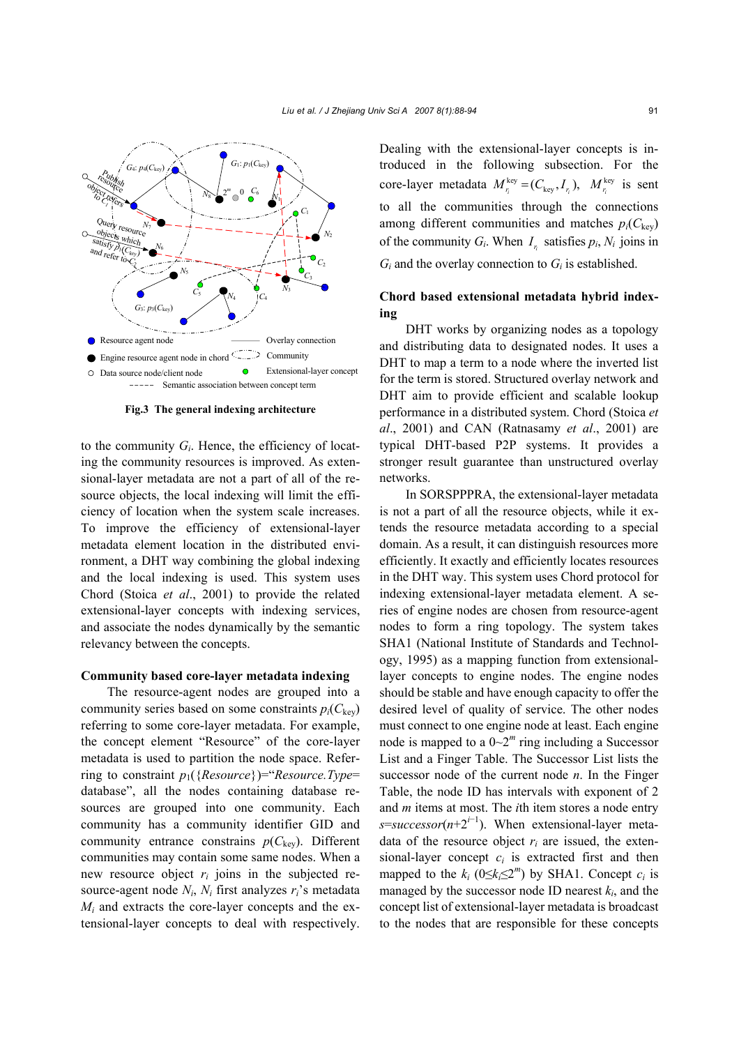

**Fig.3 The general indexing architecture** 

to the community  $G_i$ . Hence, the efficiency of locating the community resources is improved. As extensional-layer metadata are not a part of all of the resource objects, the local indexing will limit the efficiency of location when the system scale increases. To improve the efficiency of extensional-layer metadata element location in the distributed environment, a DHT way combining the global indexing and the local indexing is used. This system uses Chord (Stoica *et al*., 2001) to provide the related extensional-layer concepts with indexing services, and associate the nodes dynamically by the semantic relevancy between the concepts.

#### **Community based core-layer metadata indexing**

The resource-agent nodes are grouped into a community series based on some constraints  $p_i(C_{\text{kev}})$ referring to some core-layer metadata. For example, the concept element "Resource" of the core-layer metadata is used to partition the node space. Referring to constraint *p*1({*Resource*})="*Resource.Type*= database", all the nodes containing database resources are grouped into one community. Each community has a community identifier GID and community entrance constrains  $p(C_{\text{kev}})$ . Different communities may contain some same nodes. When a new resource object  $r_i$  joins in the subjected resource-agent node  $N_i$ ,  $N_i$  first analyzes  $r_i$ 's metadata  $M_i$  and extracts the core-layer concepts and the extensional-layer concepts to deal with respectively. Dealing with the extensional-layer concepts is introduced in the following subsection. For the core-layer metadata  $M_{r_i}^{key} = (C_{key}, I_{r_i})$ ,  $M_{r_i}^{key}$  is sent to all the communities through the connections among different communities and matches  $p_i(C_{\text{kev}})$ of the community  $G_i$ . When  $I_i$  satisfies  $p_i$ ,  $N_i$  joins in  $G_i$  and the overlay connection to  $G_i$  is established.

# **Chord based extensional metadata hybrid indexing**

DHT works by organizing nodes as a topology and distributing data to designated nodes. It uses a DHT to map a term to a node where the inverted list for the term is stored. Structured overlay network and DHT aim to provide efficient and scalable lookup performance in a distributed system. Chord (Stoica *et al*., 2001) and CAN (Ratnasamy *et al*., 2001) are typical DHT-based P2P systems. It provides a stronger result guarantee than unstructured overlay networks.

In SORSPPPRA, the extensional-layer metadata is not a part of all the resource objects, while it extends the resource metadata according to a special domain. As a result, it can distinguish resources more efficiently. It exactly and efficiently locates resources in the DHT way. This system uses Chord protocol for indexing extensional-layer metadata element. A series of engine nodes are chosen from resource-agent nodes to form a ring topology. The system takes SHA1 (National Institute of Standards and Technology, 1995) as a mapping function from extensionallayer concepts to engine nodes. The engine nodes should be stable and have enough capacity to offer the desired level of quality of service. The other nodes must connect to one engine node at least. Each engine node is mapped to a  $0 \sim 2^m$  ring including a Successor List and a Finger Table. The Successor List lists the successor node of the current node *n*. In the Finger Table, the node ID has intervals with exponent of 2 and *m* items at most. The *i*th item stores a node entry *s*=*successor*(*n*+2*<sup>i</sup>*−<sup>1</sup> ). When extensional-layer metadata of the resource object  $r_i$  are issued, the extensional-layer concept  $c_i$  is extracted first and then mapped to the  $k_i$  (0≤ $k_i$ ≤2<sup>*m*</sup>) by SHA1. Concept  $c_i$  is managed by the successor node ID nearest  $k_i$ , and the concept list of extensional-layer metadata is broadcast to the nodes that are responsible for these concepts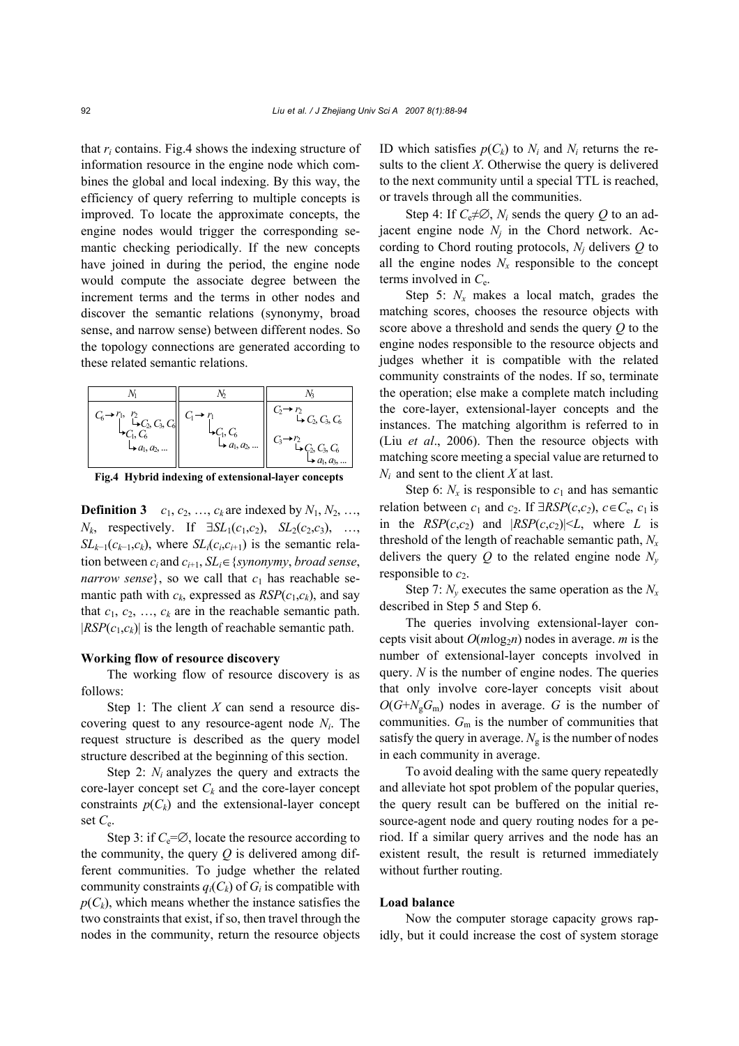that  $r_i$  contains. Fig.4 shows the indexing structure of information resource in the engine node which combines the global and local indexing. By this way, the efficiency of query referring to multiple concepts is improved. To locate the approximate concepts, the engine nodes would trigger the corresponding semantic checking periodically. If the new concepts have joined in during the period, the engine node would compute the associate degree between the increment terms and the terms in other nodes and discover the semantic relations (synonymy, broad sense, and narrow sense) between different nodes. So the topology connections are generated according to these related semantic relations.



**Fig.4 Hybrid indexing of extensional-layer concepts**

**Definition 3**  $c_1, c_2, \ldots, c_k$  are indexed by  $N_1, N_2, \ldots$ , *N<sub>k</sub>*, respectively. If  $\exists SL_1(c_1,c_2)$ ,  $SL_2(c_2,c_3)$ , …,  $SL_{k-1}(c_{k-1},c_k)$ , where  $SL_i(c_i,c_{i+1})$  is the semantic relation between *ci* and *ci*+1, *SLi*∈{*synonymy*, *broad sense*, *narrow sense*, so we call that  $c_1$  has reachable semantic path with  $c_k$ , expressed as  $RSP(c_1,c_k)$ , and say that  $c_1, c_2, \ldots, c_k$  are in the reachable semantic path.  $|RSP(c_1, c_k)|$  is the length of reachable semantic path.

#### **Working flow of resource discovery**

The working flow of resource discovery is as follows:

Step 1: The client *X* can send a resource discovering quest to any resource-agent node *Ni*. The request structure is described as the query model structure described at the beginning of this section.

Step 2: *Ni* analyzes the query and extracts the core-layer concept set  $C_k$  and the core-layer concept constraints  $p(C_k)$  and the extensional-layer concept set *C*e.

Step 3: if  $C_e = \emptyset$ , locate the resource according to the community, the query  $Q$  is delivered among different communities. To judge whether the related community constraints  $q_i(C_k)$  of  $G_i$  is compatible with  $p(C_k)$ , which means whether the instance satisfies the two constraints that exist, if so, then travel through the nodes in the community, return the resource objects ID which satisfies  $p(C_k)$  to  $N_i$  and  $N_i$  returns the results to the client *X*. Otherwise the query is delivered to the next community until a special TTL is reached, or travels through all the communities.

Step 4: If  $C_e \neq \emptyset$ ,  $N_i$  sends the query  $\emptyset$  to an adjacent engine node  $N_i$  in the Chord network. According to Chord routing protocols, *Nj* delivers *Q* to all the engine nodes  $N_x$  responsible to the concept terms involved in *C*e.

Step 5:  $N_x$  makes a local match, grades the matching scores, chooses the resource objects with score above a threshold and sends the query *Q* to the engine nodes responsible to the resource objects and judges whether it is compatible with the related community constraints of the nodes. If so, terminate the operation; else make a complete match including the core-layer, extensional-layer concepts and the instances. The matching algorithm is referred to in (Liu *et al*., 2006). Then the resource objects with matching score meeting a special value are returned to *Ni* and sent to the client *X* at last.

Step 6:  $N_x$  is responsible to  $c_1$  and has semantic relation between  $c_1$  and  $c_2$ . If  $\exists RSP(c,c_2), c \in C_e$ ,  $c_1$  is in the  $RSP(c,c_2)$  and  $|RSP(c,c_2)| \leq L$ , where *L* is threshold of the length of reachable semantic path, *Nx* delivers the query  $Q$  to the related engine node  $N_v$ responsible to  $c_2$ .

Step 7:  $N_y$  executes the same operation as the  $N_x$ described in Step 5 and Step 6.

The queries involving extensional-layer concepts visit about  $O(m \log_2 n)$  nodes in average. *m* is the number of extensional-layer concepts involved in query. *N* is the number of engine nodes. The queries that only involve core-layer concepts visit about  $O(G+N_{\rm g}G_{\rm m})$  nodes in average. *G* is the number of communities. *G*m is the number of communities that satisfy the query in average.  $N_g$  is the number of nodes in each community in average.

To avoid dealing with the same query repeatedly and alleviate hot spot problem of the popular queries, the query result can be buffered on the initial resource-agent node and query routing nodes for a period. If a similar query arrives and the node has an existent result, the result is returned immediately without further routing.

### **Load balance**

Now the computer storage capacity grows rapidly, but it could increase the cost of system storage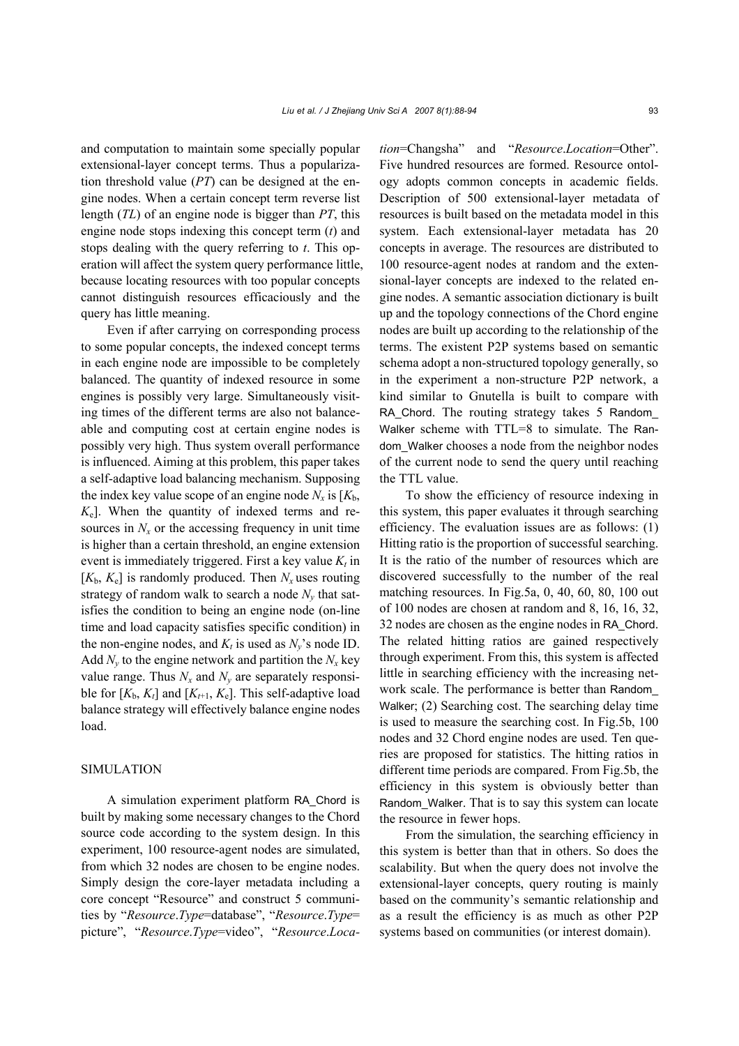and computation to maintain some specially popular extensional-layer concept terms. Thus a popularization threshold value (*PT*) can be designed at the engine nodes. When a certain concept term reverse list length (*TL*) of an engine node is bigger than *PT*, this engine node stops indexing this concept term (*t*) and stops dealing with the query referring to *t*. This operation will affect the system query performance little, because locating resources with too popular concepts cannot distinguish resources efficaciously and the query has little meaning.

Even if after carrying on corresponding process to some popular concepts, the indexed concept terms in each engine node are impossible to be completely balanced. The quantity of indexed resource in some engines is possibly very large. Simultaneously visiting times of the different terms are also not balanceable and computing cost at certain engine nodes is possibly very high. Thus system overall performance is influenced. Aiming at this problem, this paper takes a self-adaptive load balancing mechanism. Supposing the index key value scope of an engine node  $N_x$  is  $[K_b,$ *K*e]. When the quantity of indexed terms and resources in  $N_x$  or the accessing frequency in unit time is higher than a certain threshold, an engine extension event is immediately triggered. First a key value  $K_t$  in  $[K_b, K_e]$  is randomly produced. Then  $N_x$  uses routing strategy of random walk to search a node  $N_v$  that satisfies the condition to being an engine node (on-line time and load capacity satisfies specific condition) in the non-engine nodes, and  $K_t$  is used as  $N_v$ 's node ID. Add  $N_v$  to the engine network and partition the  $N_x$  key value range. Thus  $N_x$  and  $N_y$  are separately responsible for  $[K_b, K_t]$  and  $[K_{t+1}, K_e]$ . This self-adaptive load balance strategy will effectively balance engine nodes load.

# SIMULATION

A simulation experiment platform RA\_Chord is built by making some necessary changes to the Chord source code according to the system design. In this experiment, 100 resource-agent nodes are simulated, from which 32 nodes are chosen to be engine nodes. Simply design the core-layer metadata including a core concept "Resource" and construct 5 communities by "*Resource*.*Type*=database", "*Resource*.*Type*= picture", "*Resource*.*Type*=video", "*Resource*.*Loca-* *tion*=Changsha" and "*Resource*.*Location*=Other". Five hundred resources are formed. Resource ontology adopts common concepts in academic fields. Description of 500 extensional-layer metadata of resources is built based on the metadata model in this system. Each extensional-layer metadata has 20 concepts in average. The resources are distributed to 100 resource-agent nodes at random and the extensional-layer concepts are indexed to the related engine nodes. A semantic association dictionary is built up and the topology connections of the Chord engine nodes are built up according to the relationship of the terms. The existent P2P systems based on semantic schema adopt a non-structured topology generally, so in the experiment a non-structure P2P network, a kind similar to Gnutella is built to compare with RA\_Chord. The routing strategy takes 5 Random\_ Walker scheme with TTL=8 to simulate. The Random\_Walker chooses a node from the neighbor nodes of the current node to send the query until reaching the TTL value.

To show the efficiency of resource indexing in this system, this paper evaluates it through searching efficiency. The evaluation issues are as follows: (1) Hitting ratio is the proportion of successful searching. It is the ratio of the number of resources which are discovered successfully to the number of the real matching resources. In Fig.5a, 0, 40, 60, 80, 100 out of 100 nodes are chosen at random and 8, 16, 16, 32, 32 nodes are chosen as the engine nodes in RA\_Chord. The related hitting ratios are gained respectively through experiment. From this, this system is affected little in searching efficiency with the increasing network scale. The performance is better than Random\_ Walker; (2) Searching cost. The searching delay time is used to measure the searching cost. In Fig.5b, 100 nodes and 32 Chord engine nodes are used. Ten queries are proposed for statistics. The hitting ratios in different time periods are compared. From Fig.5b, the efficiency in this system is obviously better than Random Walker. That is to say this system can locate the resource in fewer hops.

From the simulation, the searching efficiency in this system is better than that in others. So does the scalability. But when the query does not involve the extensional-layer concepts, query routing is mainly based on the community's semantic relationship and as a result the efficiency is as much as other P2P systems based on communities (or interest domain).